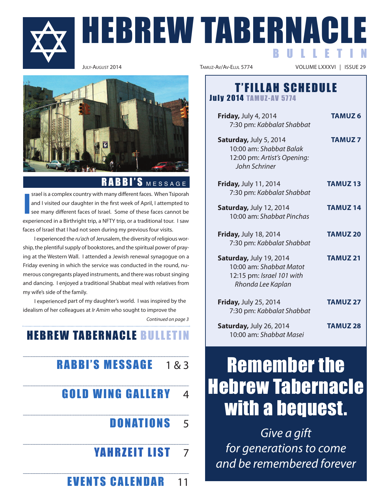

# HEBREW TABERNACLE B U L L E T I N



### RABBI'S MESSAGE

**I** srael is a complex country with many different faces. When Tsiporah and I visited our daughter in the first week of April, I attempted to see many different faces of Israel. some of these faces cannot be experienced in a Birthright trip, a NFTY trip, or a traditional tour. I saw faces of Israel that I had not seen during my previous four visits.

I experienced the ru'ach of Jerusalem, the diversity of religious worship, the plentiful supply of bookstores, and the spiritual power of praying at the Western Wall. I attended a Jewish renewal synagogue on a Friday evening in which the service was conducted in the round, numerous congregants played instruments, and there was robust singing and dancing. I enjoyed a traditional shabbat meal with relatives from my wife's side of the family.

I experienced part of my daughter's world. I was inspired by the idealism of her colleagues at Ir Amim who sought to improve the

Continued on page 3

## **HEBREW TABERNACLE BULLETIN**

# **RABBI'S MESSAGE**  $183$

- **GOLD WING GALLERY 4** 
	- **DONATIONS** 5
	- **YAHRZEIT LIST 7**
	- **EVENTS CALENDAR** 11

VOLUME LXXXVI | ISSUE 29

### **T'FILLAH SCHEDULE July 2014 TAMUZ-AV 5774**

**Friday, July 4, 2014 <b>tamus TAMUZ 6** 7:30 pm: Kabbalat Shabbat **Saturday, July 5, 2014 <b>TAMUZ 7** 10:00 am: Shabbat Balak 12:00 pm: Artist's Opening: John Schriner **Friday, July 11, 2014 <b>TAMUZ 13** 7:30 pm: Kabbalat Shabbat **Saturday, July 12, 2014 <b>TAMUZ 14** 10:00 am: Shabbat Pinchas **Friday, July 18, 2014 <b>TAMUZ 20** 7:30 pm: Kabbalat Shabbat **Saturday, July 19, 2014 <b>TAMUZ 21** 10:00 am: Shabbat Matot 12:15 pm: Israel 101 with Rhonda Lee Kaplan **Friday, July 25, 2014 <b>TAMUZ 27** 7:30 pm: Kabbalat Shabbat **Saturday, July 26, 2014 <b>TAMUZ 28** 10:00 am: Shabbat Masei

# Remember the Hebrew Tabernacle with a bequest.

Give a gift for generations to come and be remembered forever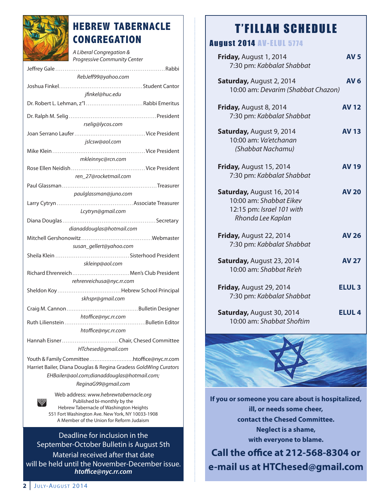

## **HEBREW TABERNACLE CONGREGATION**

A Liberal Congregation & Progressive Community Center

| RebJeff99@yahoo.com                                                  |
|----------------------------------------------------------------------|
|                                                                      |
| jfinkel@huc.edu                                                      |
| Dr. Robert L. Lehman, z"l  Rabbi Emeritus                            |
|                                                                      |
| rselig@lycos.com                                                     |
| jslcsw@aol.com                                                       |
|                                                                      |
| mkleinnyc@rcn.com                                                    |
|                                                                      |
| ren 27@rocketmail.com                                                |
|                                                                      |
| paulglassman@juno.com                                                |
| Lcytryn@gmail.com                                                    |
|                                                                      |
| dianaddouglas@hotmail.com                                            |
|                                                                      |
| susan_gellert@yahoo.com                                              |
|                                                                      |
| skleinp@aol.com                                                      |
| Richard Ehrenreich  Men's Club President                             |
| rehrenreichusa@nyc.rr.com                                            |
| skhspr@gmail.com                                                     |
|                                                                      |
| htoffice@nyc.rr.com                                                  |
| htoffice@nyc.rr.com                                                  |
|                                                                      |
| HTchesed@gmail.com                                                   |
|                                                                      |
| Harriet Bailer, Diana Douglas & Regina Gradess GoldWing Curators     |
| EHBailer@aol.com;dianaddouglas@hotmail.com;                          |
| ReginaG99@gmail.com                                                  |
| Web address: www.hebrewtabernacle.org<br>Published bi-monthly by the |

Hebrew tabernacle of Washington Heights 551 Fort Washington Ave. New york, Ny 10033-1908 A Member of the Union for Reform Judaism

Deadline for inclusion in the september-october Bulletin is August 5th material received after that date will be held until the November-December issue. *htoffice@nyc.rr.com*

# **T'FILLAH SCHEDULE**

## **August 2014 AV-ELUL 5774**

| Friday, August 1, 2014<br>7:30 pm: Kabbalat Shabbat                                                    | <b>AV 5</b>     |
|--------------------------------------------------------------------------------------------------------|-----------------|
| Saturday, August 2, 2014<br>10:00 am: Devarim (Shabbat Chazon)                                         | AV <sub>6</sub> |
| Friday, August 8, 2014<br>7:30 pm: Kabbalat Shabbat                                                    | <b>AV 12</b>    |
| Saturday, August 9, 2014<br>10:00 am: Va'etchanan<br>(Shabbat Nachamu)                                 | <b>AV 13</b>    |
| Friday, August 15, 2014<br>7:30 pm: Kabbalat Shabbat                                                   | <b>AV 19</b>    |
| Saturday, August 16, 2014<br>10:00 am: Shabbat Eikev<br>12:15 pm: Israel 101 with<br>Rhonda Lee Kaplan | <b>AV 20</b>    |
| Friday, August 22, 2014<br>7:30 pm: Kabbalat Shabbat                                                   | <b>AV 26</b>    |
| Saturday, August 23, 2014<br>10:00 am: Shabbat Re'eh                                                   | <b>AV 27</b>    |
| Friday, August 29, 2014<br>7:30 pm: Kabbalat Shabbat                                                   | <b>ELUL 3</b>   |
| Saturday, August 30, 2014<br>10:00 am: Shabbat Shoftim                                                 | <b>ELUL 4</b>   |



**If you or someone you care about is hospitalized, ill, or needs some cheer, contact the Chesed Committee. Neglect is a shame, with everyone to blame.**

**Call the office at 212-568-8304 or e-mail us at HtChesed@gmail.com**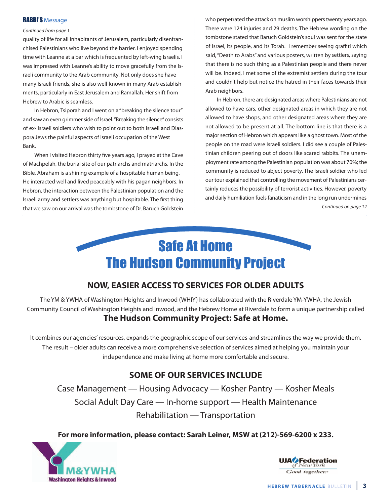#### **RABBI'S Message**

#### Continued from page 1

quality of life for all inhabitants of Jerusalem, particularly disenfranchised Palestinians who live beyond the barrier. I enjoyed spending time with leanne at a bar which is frequented by left-wing Israelis. I was impressed with leanne's ability to move gracefully from the Israeli community to the Arab community. Not only does she have many Israeli friends, she is also well-known in many Arab establishments, particularly in East Jerusalem and Ramallah. Her shift from Hebrew to Arabic is seamless.

In Hebron, Tsiporah and I went on a "breaking the silence tour" and saw an even grimmer side of Israel. "Breaking the silence" consists of ex- Israeli soldiers who wish to point out to both Israeli and Diaspora Jews the painful aspects of Israeli occupation of the West Bank.

When I visited Hebron thirty five years ago, I prayed at the Cave of machpelah, the burial site of our patriarchs and matriarchs. In the Bible, Abraham is a shining example of a hospitable human being. He interacted well and lived peaceably with his pagan neighbors. In Hebron, the interaction between the Palestinian population and the Israeli army and settlers was anything but hospitable. The first thing that we saw on our arrival was the tombstone of Dr. Baruch Goldstein who perpetrated the attack on muslim worshippers twenty years ago. There were 124 injuries and 29 deaths. The Hebrew wording on the tombstone stated that Baruch Goldstein's soul was sent for the state of Israel, its people, and its Torah. I remember seeing graffiti which said, "Death to Arabs" and various posters, written by settlers, saying that there is no such thing as a Palestinian people and there never will be. Indeed, I met some of the extremist settlers during the tour and couldn't help but notice the hatred in their faces towards their Arab neighbors.

In Hebron, there are designated areas where Palestinians are not allowed to have cars, other designated areas in which they are not allowed to have shops, and other designated areas where they are not allowed to be present at all. The bottom line is that there is a major section of Hebron which appears like a ghost town. most of the people on the road were Israeli soldiers. I did see a couple of Palestinian children peering out of doors like scared rabbits. The unemployment rate among the Palestinian population was about 70%; the community is reduced to abject poverty. The Israeli soldier who led our tour explained that controlling the movement of Palestinians certainly reduces the possibility of terrorist activities. However, poverty and daily humiliation fuels fanaticism and in the long run undermines Continued on page 12



### **NOW, eaSIeR aCCeSS tO SeRvICeS FOR OlDeR aDultS**

the ym & yWHA of Washington Heights and Inwood (WHIy) has collaborated with the Riverdale ym-yWHA, the Jewish Community Council of Washington Heights and Inwood, and the Hebrew Home at Riverdale to form a unique partnership called **the Hudson Community Project: Safe at Home.**

It combines our agencies' resources, expands the geographic scope of our services-and streamlines the way we provide them. the result – older adults can receive a more comprehensive selection of services aimed at helping you maintain your independence and make living at home more comfortable and secure.

### **SOme OF OuR SeRvICeS INCluDe**

Case management — Housing Advocacy — Kosher Pantry — Kosher meals social Adult Day Care — In-home support — Health maintenance Rehabilitation — Transportation

**For more information, please contact: Sarah leiner, mSW at (212)-569-6200 x 233.**



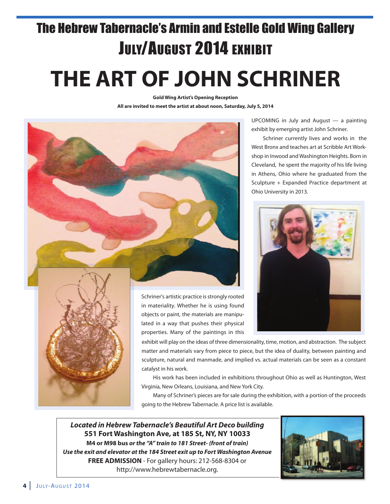# The Hebrew Tabernacle's Armin and Estelle Gold Wing Gallery JULY/AUGUST 2014 EXHIBIT

# **tHe aRt OF JOHN SCHRINeR**

**Gold Wing artist's Opening Reception all are invited to meet the artist at about noon, Saturday, July 5, 2014**



uPComINg in July and August — a painting exhibit by emerging artist John schriner.

schriner currently lives and works in the West Bronx and teaches art at scribble Art Workshop in Inwood and Washington Heights. Born in Cleveland, he spent the majority of his life living in Athens, ohio where he graduated from the sculpture + Expanded Practice department at Ohio University in 2013.



schriner's artistic practice is strongly rooted in materiality. Whether he is using found objects or paint, the materials are manipulated in a way that pushes their physical properties. many of the paintings in this

exhibit will play on the ideas of three dimensionality, time, motion, and abstraction. the subject matter and materials vary from piece to piece, but the idea of duality, between painting and sculpture, natural and manmade, and implied vs. actual materials can be seen as a constant

His work has been included in exhibitions throughout ohio as well as Huntington, West virginia, New orleans, louisiana, and New york City.

many of schriner's pieces are for sale during the exhibition, with a portion of the proceeds going to the Hebrew Tabernacle. A price list is available.

*Located in Hebrew Tabernacle's Beautiful Art Deco building* **551 Fort Washington ave, at 185 St, NY, NY 10033 m4 or m98 bus** *or the "A" train to 181 Street- (front of train) Use the exit and elevator at the 184 Street exit up to Fort Washington Avenue* **FRee aDmISSION** - For gallery hours: 212-568-8304 or http://www.hebrewtabernacle.org.

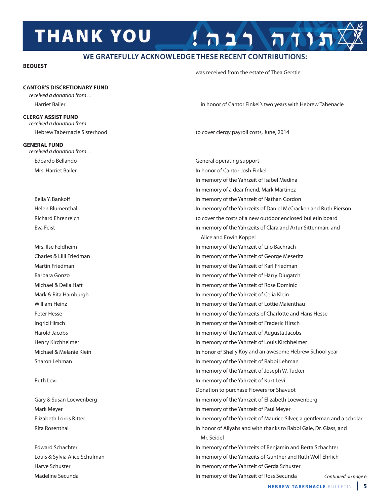# **THANK YOU**

### **WE GRATEFULLY ACKNOWLEDGE THESE RECENT CONTRIBUTIONS:**

#### **beQueSt**

was received from the estate of Thea Gerstle

### **CaNtOR'S DISCRetIONaRY FuND**

received a donation from…

#### **CleRGY aSSISt FuND**

received a donation from…

#### **GeNeRal FuND**

received a donation from…

madeline secunda In memory of the yahrzeit of Ross secunda

Harriet Bailer in honor of Cantor Finkel's two years with Hebrew tabenacle

תות רבה

Hebrew tabernacle sisterhood to cover clergy payroll costs, June, 2014

Edoardo Bellando general operating support mrs. Harriet Bailer **In honor of Cantor Josh Finkel** In memory of the yahrzeit of Isabel medina In memory of a dear friend, Mark Martinez Bella y. Bankoff In memory of the yahrzeit of Nathan gordon Helen Blumenthal In memory of the yahrzeits of Daniel mcCracken and Ruth Pierson Richard Ehrenreich to cover the costs of a new outdoor enclosed bulletin board Eva Feist in memory of the yahrzeits of Clara and Artur sittenman, and Alice and Erwin Koppel mrs. Ilse Feldheim In memory of the yahrzeit of lilo Bachrach Charles & lilli Friedman In memory of the yahrzeit of george meseritz martin Friedman In memory of the yahrzeit of Karl Friedman Barbara gonzo In memory of the yahrzeit of Harry Dlugatch michael & Della Haft In memory of the yahrzeit of Rose Dominic mark & Rita Hamburgh In memory of the yahrzeit of Celia Klein William Heinz **In memory of the Yahrzeit of Lottie Maienthau** Peter Hesse In memory of the yahrzeits of Charlotte and Hans Hesse Ingrid Hirsch In memory of the yahrzeit of Frederic Hirsch Harold Jacobs In memory of the yahrzeit of Augusta Jacobs Henry Kirchheimer In memory of the yahrzeit of louis Kirchheimer michael & melanie Klein In honor of shelly Koy and an awesome Hebrew school year sharon lehman In memory of the yahrzeit of Rabbi lehman In memory of the Yahrzeit of Joseph W. Tucker Ruth levi In memory of the yahrzeit of Kurt levi Donation to purchase Flowers for shavuot Gary & Susan Loewenberg **In memory of the Yahrzeit of Elizabeth Loewenberg** In memory of the Yahrzeit of Elizabeth Loewenberg mark meyer In memory of the yahrzeit of Paul meyer Elizabeth lorris Ritter In memory of the yahrzeit of maurice silver, a gentleman and a scholar Rita Rosenthal In honor of Aliyahs and with thanks to Rabbi gale, Dr. glass, and mr. seidel Edward schachter In memory of the yahrzeits of Benjamin and Berta schachter Louis & Sylvia Alice Schulman In Muslem In memory of the Yahrzeits of Gunther and Ruth Wolf Ehrlich Harve Schuster **In memory of the Yahrzeit of Gerda Schuster** 

**HEBREW TABERNACLE BULLETIN | 5** 

Continued on page 6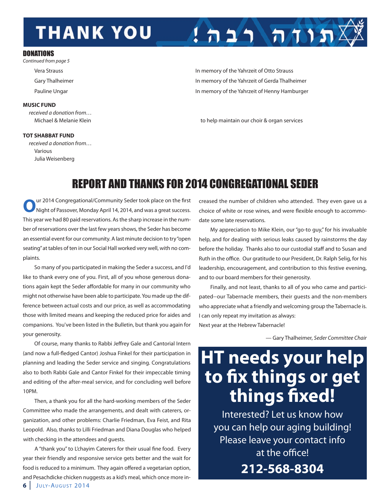# **THANK YOU**

#### **DONATIONS**

Continued from page 5

#### **muSIC FuND**

received a donation from…

#### **tOt SHabbat FuND**

 received a donation from… various Julia Weisenberg

vera strauss In memory of the yahrzeit of otto strauss Gary Thalheimer **In memory of the Yahrzeit of Gerda Thalheimer** In memory of the Yahrzeit of Gerda Thalheimer Pauline Ungar **In memory of the Yahrzeit of Henny Hamburger** In memory of the Yahrzeit of Henny Hamburger

 $1 \n n 2 1 \n n 7 1 n 2$ 

michael & melanie Klein to help maintain our choir & organ services

## REPORT AND THANKS FOR 2014 CONGREGATIONAL SEDER

**O**ur 2014 Congregational/Community Seder took place on the first<br>
Night of Passover, Monday April 14, 2014, and was a great success. this year we had 80 paid reservations. As the sharp increase in the number of reservations over the last few years shows, the Seder has become an essential event for our community. A last minute decision to try "open seating" at tables of ten in our social Hall worked very well, with no complaints.

so many of you participated in making the seder a success, and I'd like to thank every one of you. First, all of you whose generous donations again kept the seder affordable for many in our community who might not otherwise have been able to participate. you made up the difference between actual costs and our price, as well as accommodating those with limited means and keeping the reduced price for aides and companions. you've been listed in the Bulletin, but thank you again for your generosity.

of course, many thanks to Rabbi Jeffrey gale and Cantorial Intern (and now a full-fledged Cantor) Joshua Finkel for their participation in planning and leading the seder service and singing. Congratulations also to both Rabbi Gale and Cantor Finkel for their impeccable timing and editing of the after-meal service, and for concluding well before 10Pm.

Then, a thank you for all the hard-working members of the Seder Committee who made the arrangements, and dealt with caterers, organization, and other problems: Charlie Friedman, Eva Feist, and Rita leopold. Also, thanks to lilli Friedman and Diana Douglas who helped with checking in the attendees and guests.

A "thank you" to l'chayim Caterers for their usual fine food. Every year their friendly and responsive service gets better and the wait for food is reduced to a minimum. They again offered a vegetarian option, and Pesachdicke chicken nuggests as a kid's meal, which once more increased the number of children who attended. They even gave us a choice of white or rose wines, and were flexible enough to accommodate some late reservations.

my appreciation to mike Klein, our "go-to guy," for his invaluable help, and for dealing with serious leaks caused by rainstorms the day before the holiday. Thanks also to our custodial staff and to Susan and Ruth in the office. Our gratitude to our President, Dr. Ralph Selig, for his leadership, encouragement, and contribution to this festive evening, and to our board members for their generosity.

Finally, and not least, thanks to all of you who came and participated--our Tabernacle members, their guests and the non-members who appreciate what a friendly and welcoming group the Tabernacle is. I can only repeat my invitation as always: Next year at the Hebrew Tabernacle!

— gary thalheimer, Seder Committee Chair

# **Ht needs your help to fix things or get things fixed!**

Interested? let us know how you can help our aging building! Please leave your contact info at the office!

**212-568-8304**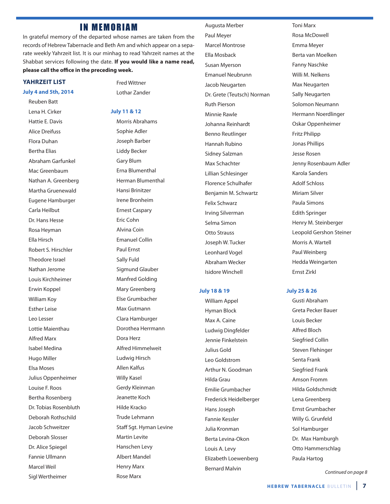### **IN MEMORIAM**

In grateful memory of the departed whose names are taken from the records of Hebrew Tabernacle and Beth Am and which appear on a separate weekly Yahrzeit list. It is our minhag to read Yahrzeit names at the shabbat services following the date. **If you would like a name read, please call the office in the preceding week.**

#### **YaHRzeIt lISt**

#### **July 4 and 5th, 2014**

Reuben Batt lena H. Cirker Hattie E. Davis Alice Dreifuss Flora Duhan Bertha Elias Abraham garfunkel Mac Greenbaum Nathan A. greenberg Martha Gruenewald Eugene Hamburger Carla Heilbut Dr. Hans Hesse Rosa Heyman Ella Hirsch Robert s. Hirschler theodore Israel Nathan Jerome louis Kirchheimer Erwin Koppel William Koy Esther leise leo lesser Lottie Maienthau Alfred marx Isabel medina Hugo miller Elsa moses Julius oppenheimer louise F. Roos Bertha Rosenberg Dr. tobias Rosenbluth Deborah Rothschild Jacob schweitzer Deborah slosser Dr. Alice spiegel Fannie Ullmann Marcel Weil sigl Wertheimer

Fred Wittner lothar zander

#### **July 11 & 12**

morris Abrahams sophie Adler Joseph Barber liddy Becker **Gary Blum** Erna Blumenthal Herman Blumenthal Hansi Brinitzer Irene Bronheim Ernest Caspary Eric Cohn Alvina Coin Emanuel Collin Paul Ernst sally Fuld sigmund glauber Manfred Golding Mary Greenberg Else grumbacher Max Gutmann Clara Hamburger Dorothea Herrmann Dora Herz Alfred Himmelweit ludwig Hirsch Allen Kalfus Willy Kasel Gerdy Kleinman Jeanette Koch Hilde Kracko Trude Lehmann staff sgt. Hyman levine **Martin Levite** Hanschen levy Albert mandel Henry Marx **Rose Marx** 

Augusta merber Paul Meyer Marcel Montrose Ella mosback Susan Myerson Emanuel Neubrunn Jacob Neugarten Dr. Grete (Teutsch) Norman Ruth Pierson Minnie Rawle Johanna Reinhardt Benno Reutlinger Hannah Rubino sidney salzman Max Schachter lillian schlesinger Florence schulhafer Benjamin m. schwartz Felix Schwarz Irving silverman selma simon **Otto Strauss** Joseph W. Tucker leonhard vogel Abraham Wecker Isidore Winchell

#### **July 18 & 19**

William Appel Hyman Block Max A. Caine ludwig Dingfelder Jennie Finkelstein Julius gold leo goldstrom Arthur N. goodman Hilda grau Emilie grumbacher Frederick Heidelberger Hans Joseph Fannie Kessler Julia Kronman Berta levina-okon louis A. levy Elizabeth loewenberg **Bernard Malvin** 

**Toni Marx** Rosa mcDowell Emma Meyer Berta van moelken Fanny Naschke Willi M. Nelkens **Max Neugarten** sally Neugarten solomon Neumann Hermann Noerdlinger oskar oppenheimer Fritz Philipp Jonas Phillips Jesse Rosen Jenny Rosenbaum Adler Karola sanders Adolf schloss **Miriam Silver** Paula simons Edith springer Henry M. Steinberger leopold gershon steiner Morris A. Wartell Paul Weinberg Hedda Weingarten Ernst zirkl

#### **July 25 & 26**

gusti Abraham greta Pecker Bauer louis Becker Alfred Bloch siegfried Collin steven Flehinger senta Frank siegfried Frank Amson Fromm Hilda goldschmidt Lena Greenberg Ernst grumbacher Willy G. Grunfeld sol Hamburger Dr. Max Hamburgh Otto Hammerschlag Paula Hartog

Continued on page 8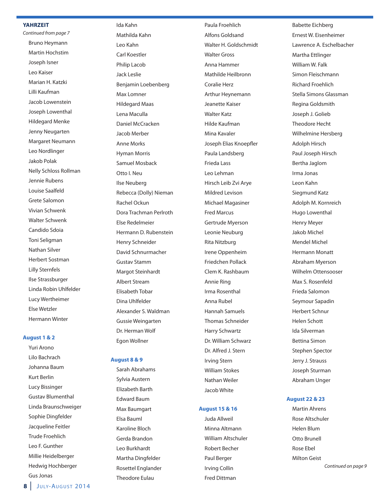#### **YaHRzeIt**

Continued from page 7 Bruno Heymann martin Hochstim Joseph Isner leo Kaiser Marian H. Katzki lilli Kaufman Jacob lowenstein Joseph lowenthal Hildegard menke Jenny Neugarten margaret Neumann leo Nordlinger Jakob Polak Nelly schloss Rollman Jennie Rubens louise saalfeld Grete Salomon vivian schwenk Walter schwenk Candido sdoia Toni Seligman Nathan silver Herbert sostman lilly sternfels Ilse Strassburger linda Robin uhlfelder lucy Wertheimer Else Wetzler Hermann Winter

#### **august 1 & 2**

yuri Arono lilo Bachrach Johanna Baum Kurt Berlin lucy Bissinger Gustav Blumenthal linda Braunschweiger sophie Dingfelder Jacqueline Feitler **Trude Froehlich** leo F. gunther millie Heidelberger Hedwig Hochberger gus Jonas

Ida Kahn mathilda Kahn leo Kahn Carl Koestler Philip lacob Jack leslie Benjamin loebenberg Max Lomner Hildegard maas Lena Maculla Daniel mcCracken Jacob merber **Anne Morks** Hyman Morris samuel mosback otto I. Neu Ilse Neuberg Rebecca (Dolly) Nieman Rachel ockun Dora Trachman Perlroth Else Redelmeier Hermann D. Rubenstein Henry schneider David schnurmacher Gustav Stamm Margot Steinhardt Albert stream Elisabeth tobar Dina uhlfelder Alexander s. Waldman Gussie Weingarten Dr. Herman Wolf Egon Wollner

#### **august 8 & 9**

sarah Abrahams sylvia Austern Elizabeth Barth Edward Baum Max Baumgart Elsa Bauml Karoline Bloch gerda Brandon leo Burkhardt Martha Dingfelder Rosettel Englander **Theodore Eulau** 

Paula Froehlich Alfons goldsand Walter H. goldschmidt Walter Gross Anna Hammer mathilde Heilbronn Coralie Herz Arthur Heynemann Jeanette Kaiser Walter Katz Hilde Kaufman Mina Kavaler Joseph Elias Knoepfler Paula landsberg Frieda lass leo lehman Hirsch leib zvi Arye mildred levison Michael Magasiner **Fred Marcus** Gertrude Myerson leonie Neuburg Rita Nitzburg Irene oppenheim Friedchen Pollack Clem K. Rashbaum Annie Ring Irma Rosenthal Anna Rubel Hannah samuels **Thomas Schneider** Harry schwartz Dr. William schwarz Dr. Alfred J. stern Irving stern William stokes Nathan Weiler Jacob White

#### **august 15 & 16**

Juda Allweil Minna Altmann William Altschuler Robert Becher Paul Berger Irving Collin Fred Dittman

Babette Eichberg Ernest W. Eisenheimer lawrence A. Eschelbacher Martha Ettlinger William W. Falk simon Fleischmann Richard Froehlich stella simons glassman Regina goldsmith Joseph J. Golieb **Theodore Hecht** Wilhelmine Hersberg Adolph Hirsch Paul Joseph Hirsch Bertha Jaglom Irma Jonas leon Kahn siegmund Katz Adolph M. Kornreich Hugo lowenthal **Henry Meyer** Jakob michel Mendel Michel Hermann Monatt Abraham Myerson Wilhelm ottensooser Max S. Rosenfeld Frieda salomon seymour sapadin Herbert schnur Helen schott Ida silverman Bettina simon stephen spector Jerry J. Strauss Joseph sturman Abraham Unger

#### **august 22 & 23**

**Martin Ahrens** Rose Altschuler Helen Blum otto Brunell Rose Ebel **Milton Geist**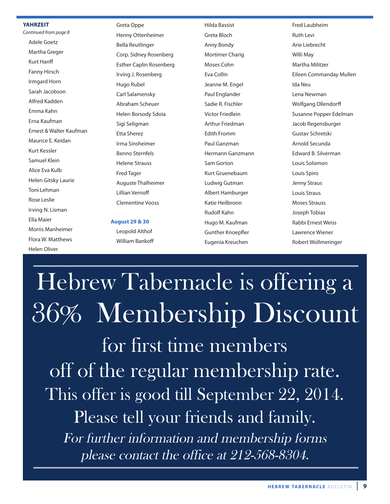#### **YaHRzeIt**

Continued from page 8 **Adele Goetz** Martha Greger Kurt Hanff Fanny Hirsch Irmgard Horn sarah Jacobson Alfred Kadden Emma Kahn Erna Kaufman Ernest & Walter Kaufman Maurice E. Keidan Kurt Kessler samuel Klein Alice Eva Kulb Helen Gitsky Laurie Toni Lehman Rose leslie Irving N. lisman Ella maier morris manheimer Flora W. matthews Helen oliver

Greta Oppe Henny Ottenheimer Bella Reutlinger Corp. sidney Rosenberg Esther Caplin Rosenberg Irving J. Rosenberg Hugo Rubel Carl Salamensky Abraham scheuer Helen Borsody sdoia sigi seligman Etta sherez Irma sinsheimer Benno sternfels Helene strauss **Fred Tager** Auguste Thalheimer lillian vernoff Clementine vooss

**august 29 & 30** leopold Althof William Bankoff

Hilda Bassist greta Bloch Anny Bondy Mortimer Charig moses Cohn Eva Collin Jeanne M. Engel Paul Englander sadie R. Fischler victor Friedlein Arthur Friedman Edith Fromm Paul ganzman Hermann ganzmann sam gorton Kurt gruenebaum ludwig gutman Albert Hamburger Katie Heilbronn Rudolf Kahn Hugo M. Kaufman gunther Knoepfler Eugenia Kreuchen

Fred laubheim Ruth levi Arie liebrecht Willi May Martha Militzer Eileen Commanday mullen Ida Neu lena Newman Wolfgang ollendorff susanne Popper Edelman Jacob Regensburger gustav schretski Arnold secunda Edward B. silverman louis solomon Louis Spiro Jenny Straus Louis Straus **Moses Strauss** Joseph Tobias Rabbi Ernest Weiss lawrence Wiener Robert Wollmeringer

Hebrew Tabernacle is offering a 36% Membership Discount for first time members off of the regular membership rate. This offer is good till September 22, 2014. Please tell your friends and family. For further information and membership forms please contact the office at 212-568-8304.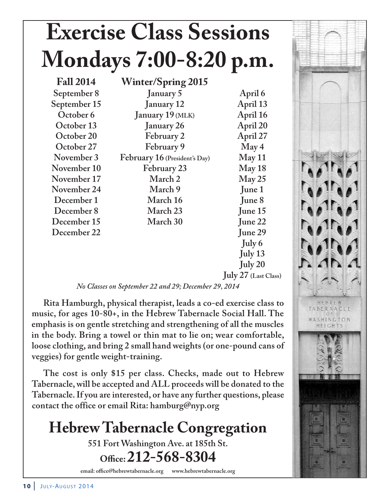# **Exercise Class Sessions Mondays 7:00-8:20 p.m.**

**Fall 2014 Winter/Spring 2015 September 8 January 5 April 6** September 15 January 12 April 13 **October 6** January 19 (MLK) April 16 **October 13 January 26 April 20 October 20 February 2 April 27 October 27 February 9 May 4 November 3 February 16 (President's Day) May 11 November 10 February 23 May 18 November 17 March 2 May 25 November 24 March 9 June 1 December 1 March 16 June 8 December 8 March 23 June 15 December 15 March 30 June 22 December 22 June 29**

**July 6 July 13 July 20 July 27 (Last Class)**

*No Classes on September 22 and 29; December 29, 2014*

**Rita Hamburgh, physical therapist, leads a co-ed exercise class to music, for ages 10-80+, in the Hebrew Tabernacle Social Hall. The emphasis is on gentle stretching and strengthening of all the muscles in the body. Bring a towel or thin mat to lie on; wear comfortable, loose clothing, and bring 2 small hand weights (or one-pound cans of veggies) for gentle weight-training.**

**The cost is only \$15 per class. Checks, made out to Hebrew Tabernacle, will be accepted and ALL proceeds will be donated to the Tabernacle. If you are interested, or have any further questions, please contact the office or email Rita: hamburg@nyp.org**

# **Hebrew Tabernacle Congregation**

**551 Fort Washington Ave. at 185th St.**

**Office: 212-568-8304**

**email: office@hebrewtabernacle.org www.hebrewtabernacle.org**

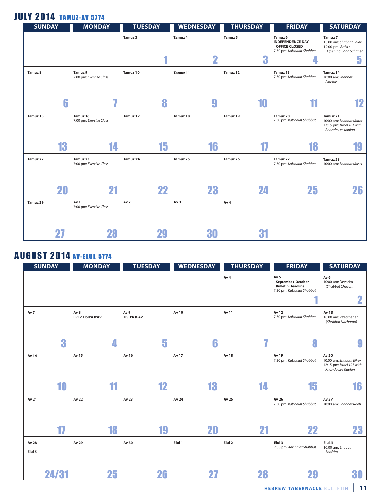### **JULY 2014 TAMUZ-AV 5774**

| <b>SUNDAY</b> | <b>MONDAY</b>                       | <b>TUESDAY</b>  | <b>WEDNESDAY</b>        | <b>THURSDAY</b> | <b>FRIDAY</b>                                                                                      | <b>SATURDAY</b>                                                                       |
|---------------|-------------------------------------|-----------------|-------------------------|-----------------|----------------------------------------------------------------------------------------------------|---------------------------------------------------------------------------------------|
|               |                                     | Tamuz 3         | Tamuz 4                 | Tamuz 5<br>n    | Tamuz <sub>6</sub><br><b>INDEPENDENCE DAY</b><br><b>OFFICE CLOSED</b><br>7:30 pm: Kabbalat Shabbat | Tamuz 7<br>10:00 am: Shabbat Balak<br>12:00 pm: Artist's<br>Opening: John Schriner    |
|               |                                     |                 | $\overline{\mathbf{2}}$ | đ               |                                                                                                    | 5                                                                                     |
| Tamuz 8       | Tamuz 9<br>7:00 pm: Exercise Class  | Tamuz 10        | Tamuz 11                | Tamuz 12        | Tamuz 13<br>7:30 pm: Kabbalat Shabbat                                                              | Tamuz 14<br>10:00 am: Shabbat<br>Pinchas                                              |
|               | 77<br>6                             | 8               | 9                       | 10              |                                                                                                    | 12                                                                                    |
| Tamuz 15      | Tamuz 16<br>7:00 pm: Exercise Class | Tamuz 17        | Tamuz 18                | Tamuz 19        | Tamuz 20<br>7:30 pm: Kabbalat Shabbat                                                              | Tamuz 21<br>10:00 am: Shabbat Matot<br>12:15 pm: Israel 101 with<br>Rhonda Lee Kaplan |
|               | 13<br>14                            | 15              | 16                      | 17              | 18                                                                                                 |                                                                                       |
| Tamuz 22      | Tamuz 23<br>7:00 pm: Exercise Class | Tamuz 24        | Tamuz 25                | Tamuz 26        | Tamuz 27<br>7:30 pm: Kabbalat Shabbat                                                              | Tamuz 28<br>10:00 am: Shabbat Masei                                                   |
|               | 20<br>21                            | 22              | 23                      | 24              | 25                                                                                                 | 26                                                                                    |
| Tamuz 29      | Av 1<br>7:00 pm: Exercise Class     | Av <sub>2</sub> | Av <sub>3</sub>         | Av <sub>4</sub> |                                                                                                    |                                                                                       |
| 27            | 28                                  | 29              | 30                      | 31              |                                                                                                    |                                                                                       |

## **AUGUST 2014 AV-ELUL 5774**

|        | <b>SUNDAY</b> | <b>MONDAY</b>                              | <b>TUESDAY</b>             | <b>WEDNESDAY</b> | <b>THURSDAY</b> | <b>FRIDAY</b>                                                                                 | <b>SATURDAY</b>                                                                    |
|--------|---------------|--------------------------------------------|----------------------------|------------------|-----------------|-----------------------------------------------------------------------------------------------|------------------------------------------------------------------------------------|
|        |               |                                            |                            |                  | Av <sub>4</sub> | Av <sub>5</sub><br>September-October<br><b>Bulletin Deadline</b><br>7:30 pm: Kabbalat Shabbat | Av <sub>6</sub><br>10:00 am: Devarim<br>(Shabbat Chazon)                           |
|        |               |                                            |                            |                  |                 |                                                                                               | $\mathbf 2$                                                                        |
| Av 7   |               | Av <sub>8</sub><br><b>EREV TISH'A B'AV</b> | Av 9<br><b>TISH'A B'AV</b> | Av 10            | Av 11           | Av 12<br>7:30 pm: Kabbalat Shabbat                                                            | Av 13<br>10:00 am: Va'etchanan<br>(Shabbat Nachamu)                                |
|        | 3             | 4                                          | 5                          | 6                | $\overline{I}$  | 8                                                                                             | $\boldsymbol{9}$                                                                   |
| Av 14  |               | Av 15                                      | Av 16                      | Av 17            | <b>Av 18</b>    | Av 19<br>7:30 pm: Kabbalat Shabbat                                                            | Av 20<br>10:00 am: Shabbat Eikev<br>12:15 pm: Israel 101 with<br>Rhonda Lee Kaplan |
|        | 10            | 11                                         | 12                         | 13               | 14              | 15                                                                                            | 16                                                                                 |
| Av 21  |               | Av 22                                      | Av 23                      | Av 24            | Av 25           | Av 26<br>7:30 pm: Kabbalat Shabbat                                                            | Av 27<br>10:00 am: Shabbat Re'eh                                                   |
|        | 17            | 18                                         | 19                         | 20               | 21              | 22                                                                                            | 23                                                                                 |
| Av 28  |               | Av 29                                      | Av 30                      | Elul 1           | Elul 2          | Elul 3<br>7:30 pm: Kabbalat Shabbat                                                           | Elul 4<br>10:00 am: Shabbat                                                        |
| Elul 5 |               |                                            |                            |                  |                 |                                                                                               | Shoftim                                                                            |
|        | 24/31         | 25                                         | 26                         |                  | 28              | 29                                                                                            | 30                                                                                 |